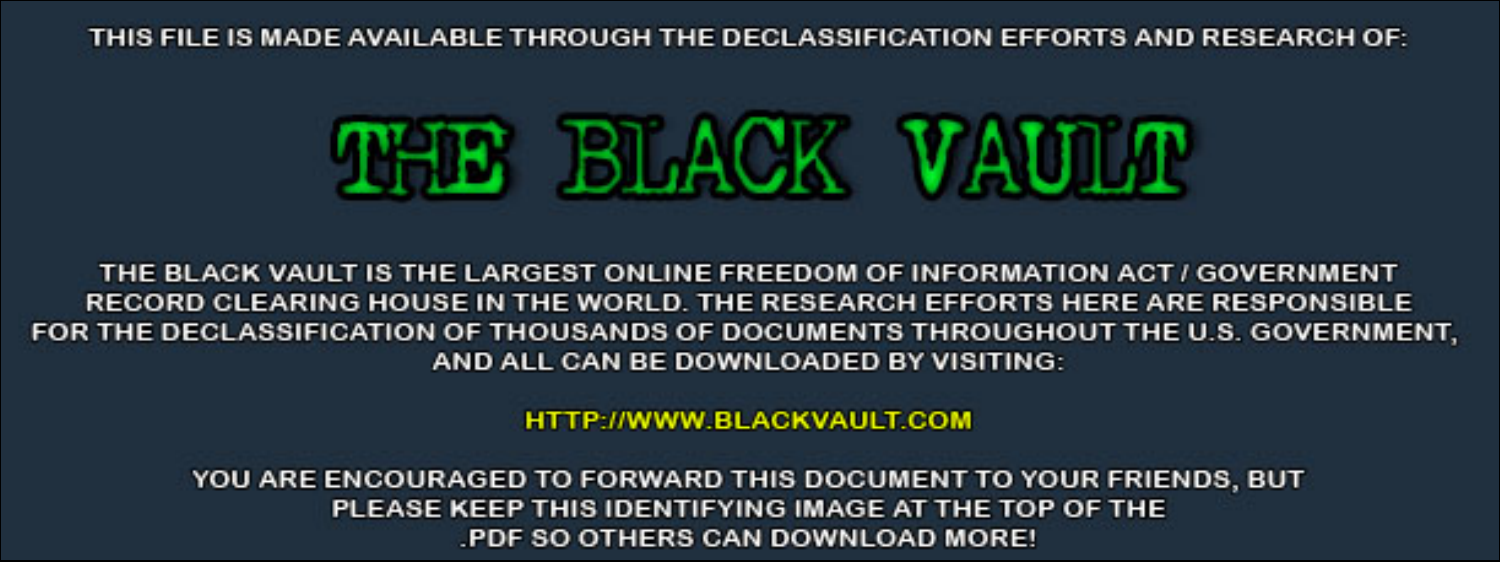THIS FILE IS MADE AVAILABLE THROUGH THE DECLASSIFICATION EFFORTS AND RESEARCH OF:



THE BLACK VAULT IS THE LARGEST ONLINE FREEDOM OF INFORMATION ACT / GOVERNMENT RECORD CLEARING HOUSE IN THE WORLD. THE RESEARCH EFFORTS HERE ARE RESPONSIBLE FOR THE DECLASSIFICATION OF THOUSANDS OF DOCUMENTS THROUGHOUT THE U.S. GOVERNMENT, AND ALL CAN BE DOWNLOADED BY VISITING:

**HTTP://WWW.BLACKVAULT.COM** 

YOU ARE ENCOURAGED TO FORWARD THIS DOCUMENT TO YOUR FRIENDS, BUT PLEASE KEEP THIS IDENTIFYING IMAGE AT THE TOP OF THE PDF SO OTHERS CAN DOWNLOAD MORE!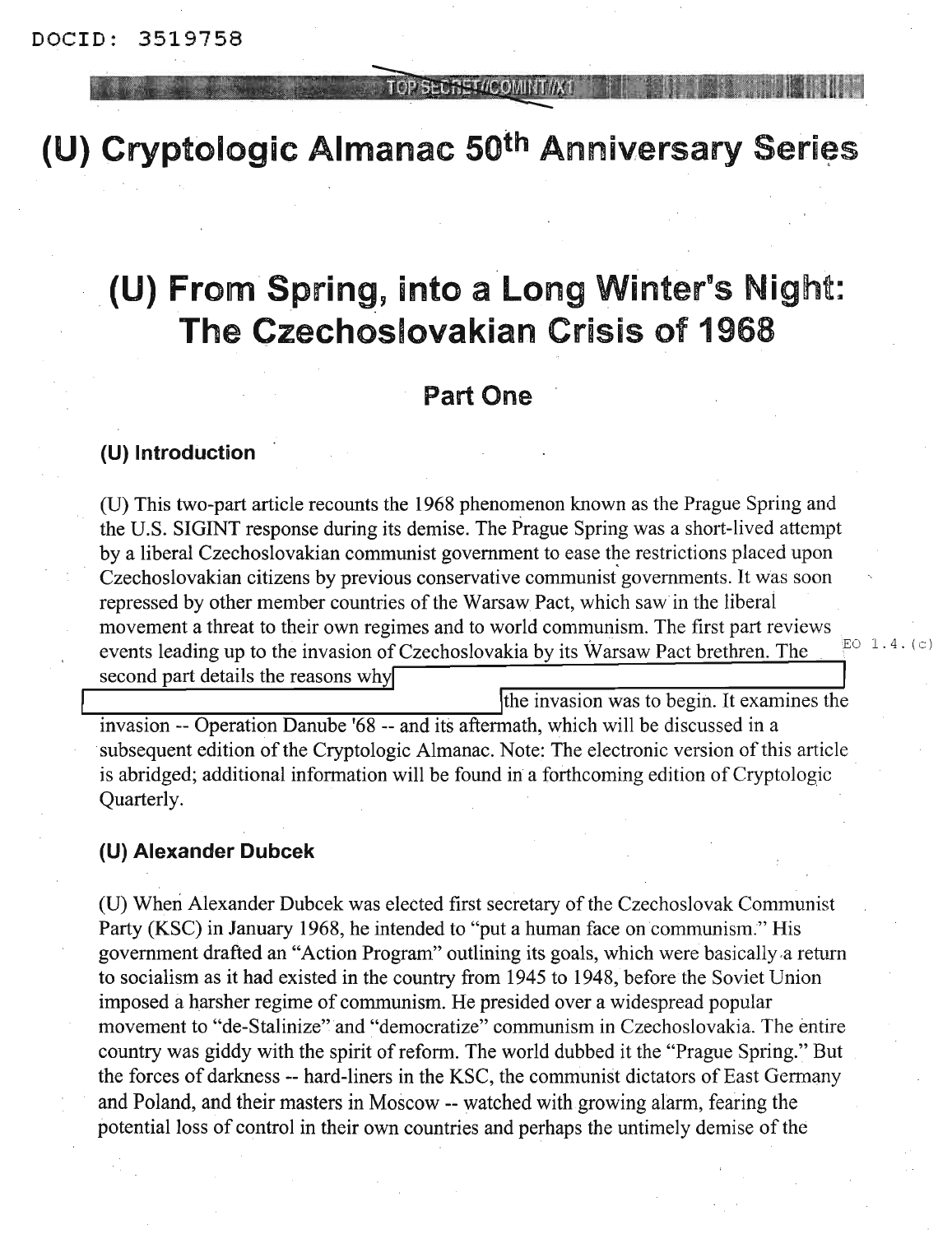## OP SECRET //COMINT//X

# **(U)** Cryptologic Almanac 50<sup>th</sup> Anniversary Series

# **(U) From Spring, into a Long Winter's Night: The Czechoslovakian Crisis of 1968**

# **Part One**

# **(U) Introduction**

(U) This two-part article recounts the 1968 phenomenon known as the Prague Spring and the U.S. SIGINT response during its demise. The Prague Spring was a short-lived attempt by a liberal Czechoslovakian communist government to ease the restrictions placed upon Czechoslovakian citizens by previous conservative communist governments. It was soon repressed by other member countries of the Warsaw Pact, which saw in the liberal movement a threat to their own regimes and to world communism. The first part reviews events leading up to the invasion of Czechoslovakia by its Warsaw Pact brethren. The  $E^{\text{O} (1.4. (c))}$ second part details the reasons why

the invasion was to begin. It examines the invasion -- Operation Danube '68 -- and its aftermath, which will be discussed in a subsequent edition of the Cryptologic Almanac. Note: The electronic version of this article is abridged; additional information will be found in a forthcoming edition of Cryptologic Quarterly.

# **(U) Alexander Dubcek**

(U) When Alexander Dubcek was elected first secretary of the Czechoslovak Communist Party (KSC) in January 1968, he intended to "put a human face on communism." His government drafted an "Action Program" outlining its goals, which were basically,a return to socialism as it had existed in the country from 1945 to 1948, before the Soviet Union imposed a harsher regime of communism. He presided over a widespread popular movement to "de-Stalinize" and "democratize" communism in Czechoslovakia. The entire country was giddy with the spirit of reform. The world dubbed it the "Prague Spring." But the forces of darkness -- hard-liners in the KSC, the communist dictators of East Germany and Poland, and their masters in Moscow -- watched with growing alarm, fearing the potential loss of control in their own countries and perhaps the untimely demise of the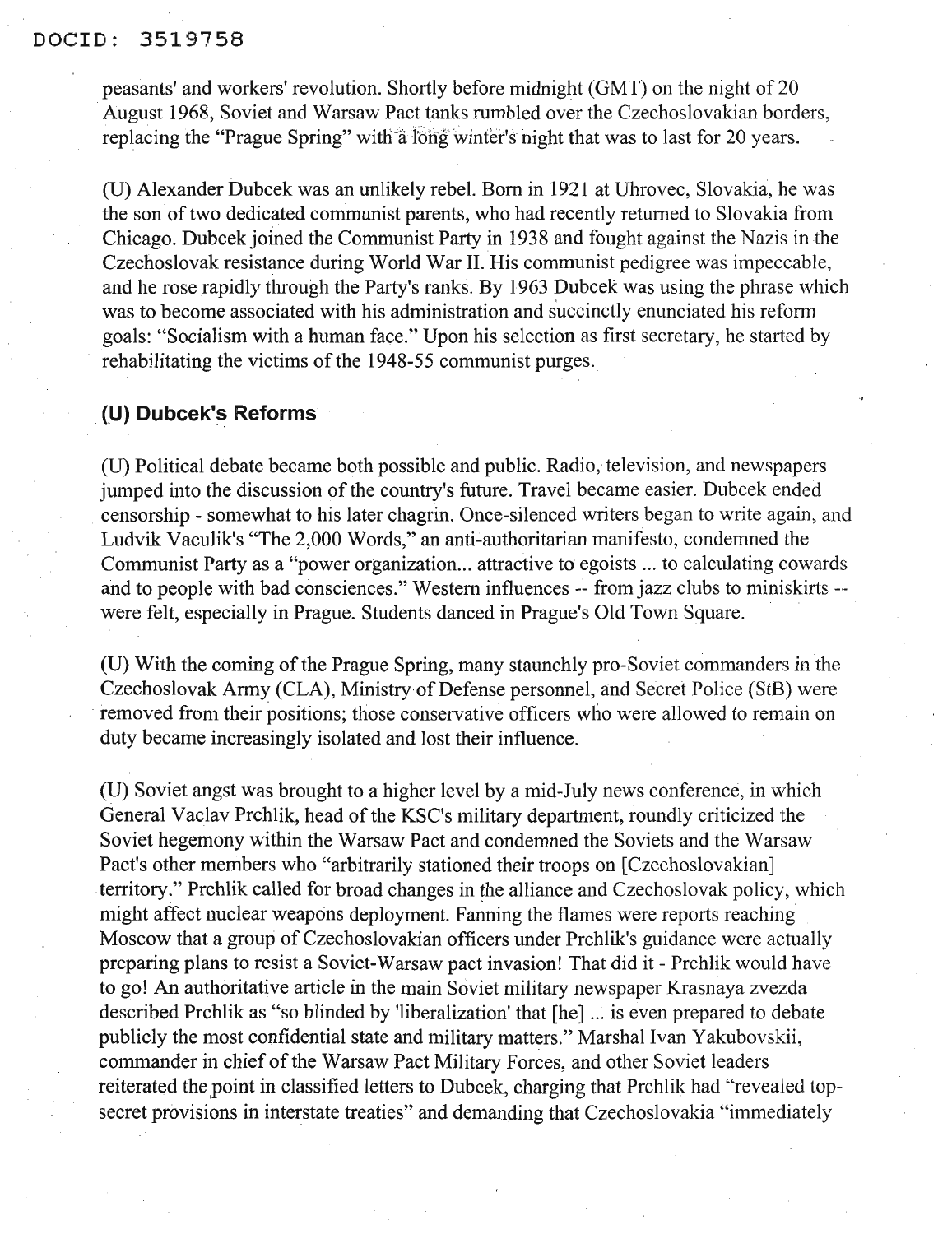#### DOCID: 3519758

peasants' and workers' revolution. Shortly before midnight (GMT) on the night of 20 August 1968, Soviet and Warsaw Pact tanks rumbled over the Czechoslovakian borders, replacing the "Prague Spring" with a long winter's night that was to last for 20 years.

(D) Alexander Dubcek was an unlikely rebel. Born in 1921 at Dhrovec, Slovakia, he was the son of two dedicated communist parents, who had recently returned to Slovakia from Chicago. Dubcek joined the Communist Party in 1938 and fought against the Nazis in the Czechoslovak resistance during World War II. His communist pedigree was impeccable, and he rose rapidly through the Party's ranks. By 1963 Dubcek was using the phrase which was to become associated with his administration and s'uccinctly enunciated his reform goals: "Socialism with a human face." Dpon his selection as first secretary, he started by rehabilitating the victims of the 1948-55 communist purges.

#### **(U) Dubcek's Reforms**

(D) Political debate became both possible and public. Radio, television, and newspapers jumped into the discussion of the country's future. Travel became easier. Dubcek ended censorship - somewhat to his later chagrin. Once-silenced writers began to write again, and Ludvik Vaculik's "The 2,000 Words," an anti-authoritarian manifesto, condemned the Communist Party as a "power organization... attractive to egoists ... to calculating cowards and to people with bad consciences." Western influences -- from jazz clubs to miniskirts - were felt, especially in Prague. Students danced in Prague's Old Town Square.

(U) With the coming of the Prague Spring, many staunchly pro-Soviet commanders in the Czechoslovak Army (CLA), Ministry of Defense personnel, and Secret Police (StB) were removed from their positions; those conservative officers who were allowed to remain on duty became increasingly isolated and lost their influence.

(D) Soviet angst was brought to a higher level by a mid-July news conference, in which General Vaclav Prchlik, head of the KSC's military department, roundly criticized the Soviet hegemony within the Warsaw Pact and condemned the Soviets and the Warsaw Pact's other members who "arbitrarily stationed their troops on [Czechoslovakian] territory:" Prchlik called for broad changes in the alliance and Czechoslovak policy, which might affect nuclear weapons deployment. Fanning the flames were reports reaching Moscow that a group of Czechoslovakian officers under Prchlik's guidance were actually preparing plans to resist a Soviet-Warsaw pact invasion! That did it - Prchlik would have to go! An authoritative article in the main Soviet military newspaper Krasnaya zvezda described Prchlik as "so blinded by 'liberalization' that [he] ... is even prepared to debate publicly the most confidential state and military matters." Marshal Ivan Yakubovskii, commander in chief of the Warsaw Pact Military Forces, and other Soviet leaders reiterated the point in classified letters to Dubcek, charging that Prchlik had "revealed topsecret provisions in interstate treaties" and demanding that Czechoslovakia "immediately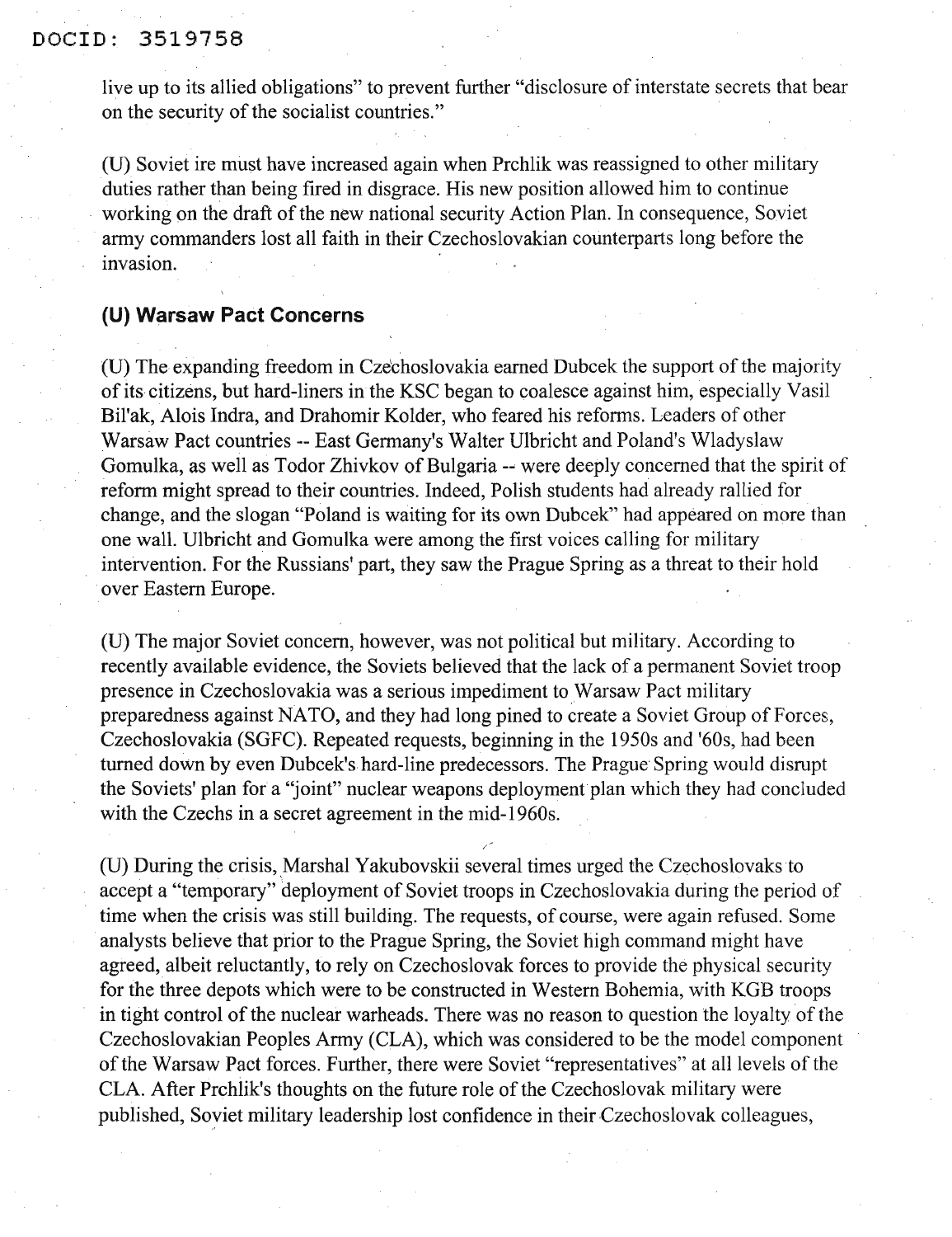live up to its allied obligations" to prevent further "disclosure of interstate secrets that bear on the security of the socialist countries."

(U) Soviet ire must have increased again when Prchlik was reassigned to other military duties rather than being fired in disgrace. His new position allowed him to continue working on the draft of the new national security Action Plan. In consequence, Soviet army commanders lost all faith in their Czechoslovakian counterparts long before the invasion.

# **(U) Warsaw Pact Concerns**

(U) The expanding freedom in Czechoslovakia earned Dubcek the support of the majority of its citizens, but hard-liners in the KSC began to coalesce against him, especially Vasil Bil'ak, Alois Indra, and Drahomir Kolder, who feared his reforms. Leaders of other Warsaw Pact countries -- East Germany's Walter Ulbricht and Poland's Wladyslaw Gomulka, as well as Todor Zhivkov of Bulgaria -- were deeply concerned that the spirit of reform might spread to their countries. Indeed, Polish students had already rallied for change, and the slogan "Poland is waiting for its own Dubcek" had appeared on more than one wall. Ulbricht and Gomulka were among the first voices calling for military intervention. For the Russians' part, they saw the Prague Spring as a threat to their hold .over Eastern Europe.

(U) The major Soviet concern, however, was not political but military. According to recently available evidence, the Soviets believed that the lack of a permanent Soviet troop presence in Czechoslovakia was a serious impediment to Warsaw Pact military preparedness against NATO, and they had long pined to create a Soviet Group of Forces, Czechoslovakia (SGFC). Repeated requests, beginning in the 1950s and '60s, had been turned down by even Dubcek's hard-line predecessors. The Prague Spring would disrupt the Soviets' plan for a "joint" nuclear weapons deployment plan which they had concluded with the Czechs in a secret agreement in the mid-1960s.

(U) During the crisis, Marshal Yakubovskii several times urged the Czechoslovaks to accept a "temporary" deployment of Soviet troops in Czechoslovakia during the period of time when the crisis was still building. The requests, of course, were again refused. Some analysts believe that prior to the Prague Spring, the Soviet high command might have agreed, albeit reluctantly, to rely on Czechoslovak forces to provide the physical security for the three depots which were to be constructed in Western Bohemia, with KGB troops in tight control of the nuclear warheads. There was no reason to question the loyalty of the Czechoslovakian Peoples Army (CLA), which was considered to be the model component of the Warsaw Pact forces. Further, there were Soviet "representatives" at all levels of the CLA. After Prchlik's thoughts on the future role of the Czechoslovak military were published, Soyiet military leadership lost confidence in their Czechoslovak colleagues,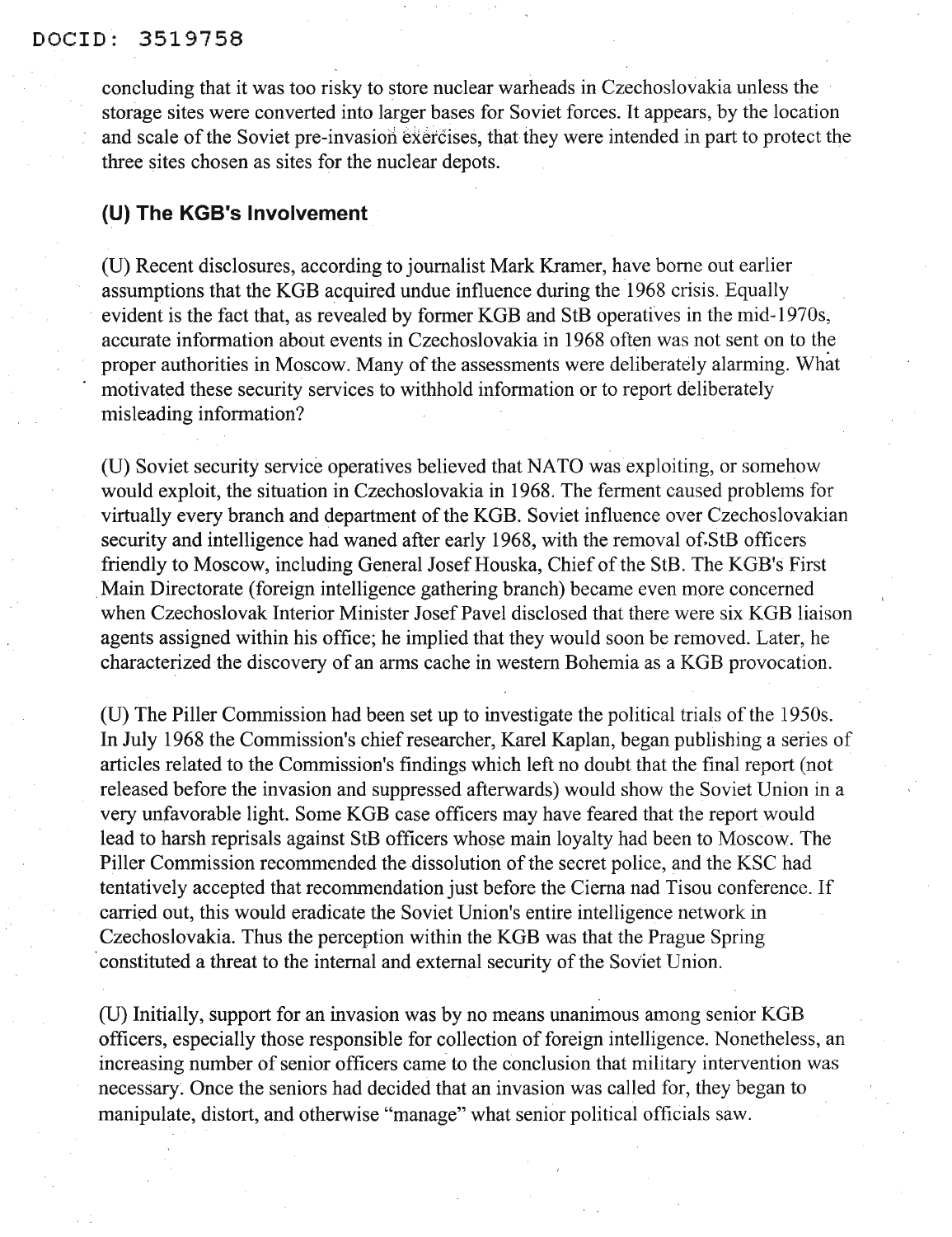### DOCID: 3519758

concluding that it was too risky to store nuclear warheads in Czechoslovakia unless the storage sites were converted into larger bases for Soviet forces. It appears, by the location and scale of the Soviet pre-invasion exercises, that they were intended in part to protect the three sites chosen as sites for the nuclear depots.

# **(U) The KGB's Involvement**

(U) Recent disclosures, according to journalist Mark Kramer, have borne out earlier assumptions that the KGB acquired undue influence during the 1968 crisis. Equally evident is the fact that, as revealed by former KGB and StB operatives in the mid-1970s, accurate information about events in Czechoslovakia in 1968 often was not sent on to the proper authorities in Moscow. Many of the assessments were deliberately alarming. What motivated these security services to withhold information or to report deliberately misleading information?

(U) Soviet security service operatives believed that NATO was exploiting, or somehow would exploit, the situation in Czechoslovakia in 1968. The ferment caused problems for virtually every branch and department of the KGB. Soviet influence over Czechoslovakian security and intelligence had waned after early 1968, with the removal of StB officers friendly to Moscow, including General Josef Houska, Chief of the StB. The KGB's First .Main Directorate (foreign intelligence gathering branch) became even more concerned when Czechoslovak Interior Minister Josef Pavel disclosed that there were six KGB liaison agents assigned within his office; he implied that they would soon be removed. Later, he characterized the discovery of an arms cache in western Bohemia as a KGB provocation.

(U) The Piller Commission had been set up to investigate the political trials of the 1950s. In July 1968 the Commission's chief researcher, Karel Kaplan, began publishing a series of articles related to the Commission's findings which left no doubt that the final report (not released before the invasion and suppressed afterwards) would show the Soviet Union in a very unfavorable light. Some KGB case officers may have feared that the report would lead to harsh reprisals against StB officers whose main loyalty had been to Moscow. The Piller Commission recommended the dissolution of the secret police, and the KSC had tentatively accepted that recommendation just before the Cierna nad Tisou conference. If carried out, this would eradicate the Soviet Union's entire intelligence network in Czechoslovakia. Thus the perception within the KGB was that the Prague Spring constituted a threat to the internal and external security of the Soviet Union.

(U) Initially, support for an invasion was by no means unanimous among senior KGB officers, especially those responsible for collection of foreign intelligence. Nonetheless, an increasing number of senior officers came to the conclusion that military intervention was necessary. Once the seniors had decided that an invasion was called for, they began to manipulate, distort, and otherwise "manage" what senior political officials saw.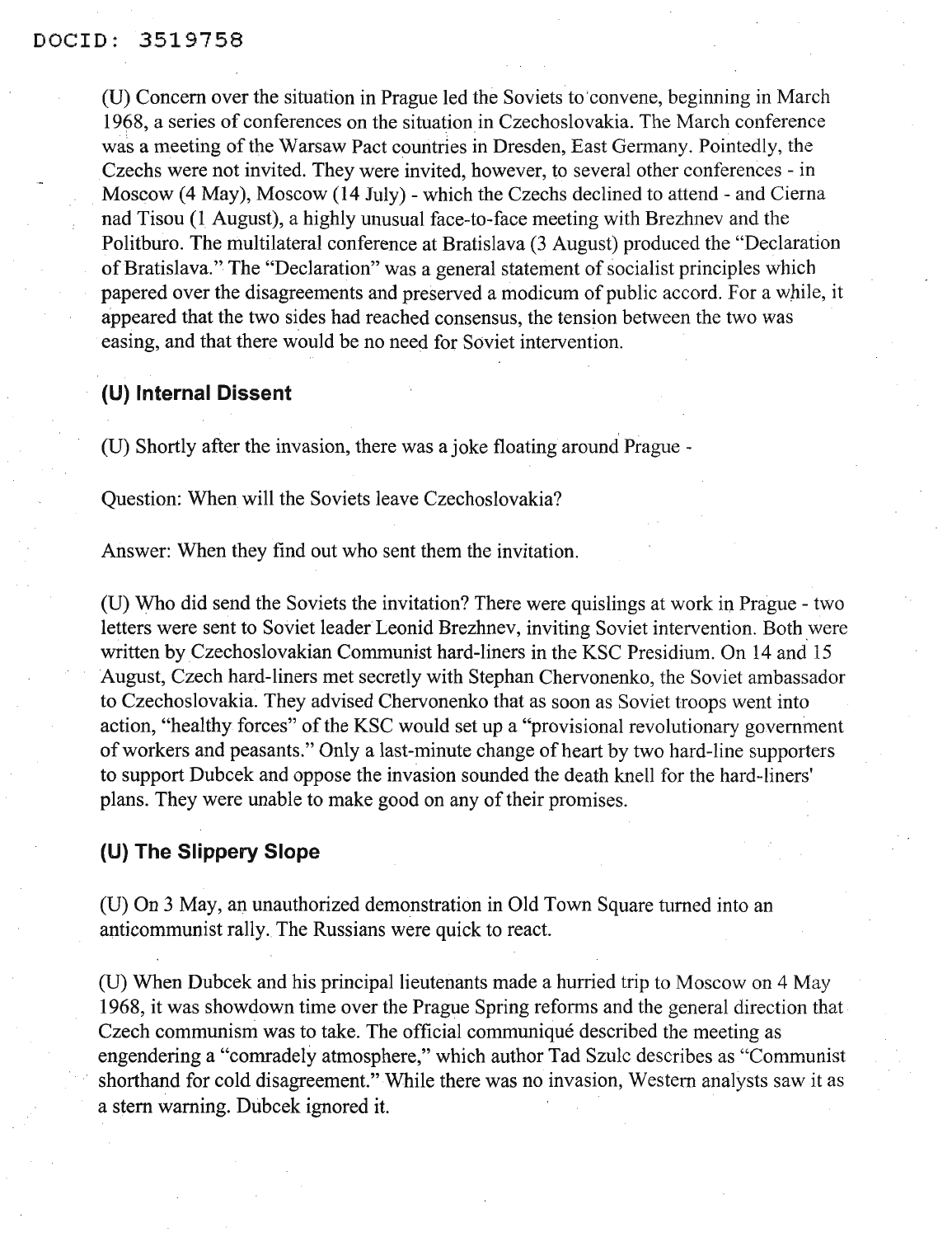(D) Concern over the situation in Prague led the Soviets to 'convene, beginning in March 1968, a series of conferences on the situation in Czechoslovakia. The March conference was a meeting of the Warsaw Pact countries in Dresden, East Germany. Pointedly, the Czechs were not invited. They Were invited, however, to several other conferences - in Moscow (4 May), Moscow (14 July) - which the Czechs declined to attend - and Cierna nad Tisou (1 August), a highly unusual face-to-face meeting with Brezhnev and the Politburo. The multilateral conference at Bratislava (3 August) produced the "Declaration of Bratislava." The "Declaration" was a general statement of socialist principles which papered over the disagreements and preserved a modicum of public accord. For a while, it appeared that the two sides had reached consensus, the tension between the two was easing, and that there would be no need for Soviet intervention.

# **(U) Internal Dissent**

(D) Shortly after the invasion, there was a joke floating around Prague -

Question: When will the Soviets leave Czechoslovakia?

Answer: When they find out who sent them the invitation.

(D) Who did send the Soviets the invitation? There were quislings at work in Prague - two letters were sent to Soviet leader Leonid Brezhnev, inviting Soviet intervention. Both were written by Czechoslovakian Communist hard-liners in the KSC Presidium. On 14 and 15 August, Czech hard-liners met secretly with Stephan Chervonenko, the Soviet ambassador to Czechoslovakia. They advised Chervonenko that as soon as Soviet troops went into action, "healthy forces" of the KSC would set up a "provisional revolutionary government ofworkers and peasants." Only a last-minute change of heart by two hard-line supporters to support Dubcek and oppose the invasion sounded the death knell for the hard-liners' plans. They were unable to make good on any of their promises.

# **(U) The Slippery Slope**

(D) On 3 May, an unauthorized demonstration in Old Town Square turned into an anticommunist rally. The Russians were quick to react.

(D) When Dubcek and his principal lieutenants made a hurried trip to Moscow on 4 May 1968, it was showdown time over the Prague Spring reforms and the general direction that Czech communism was to take. The official communique described the meeting as engendering a "comradely atmosphere," which author Tad Szulc describes as "Communist shorthand for cold disagreement." While there was no invasion, Western analysts saw it as a stem warning. Dubcek ignored it.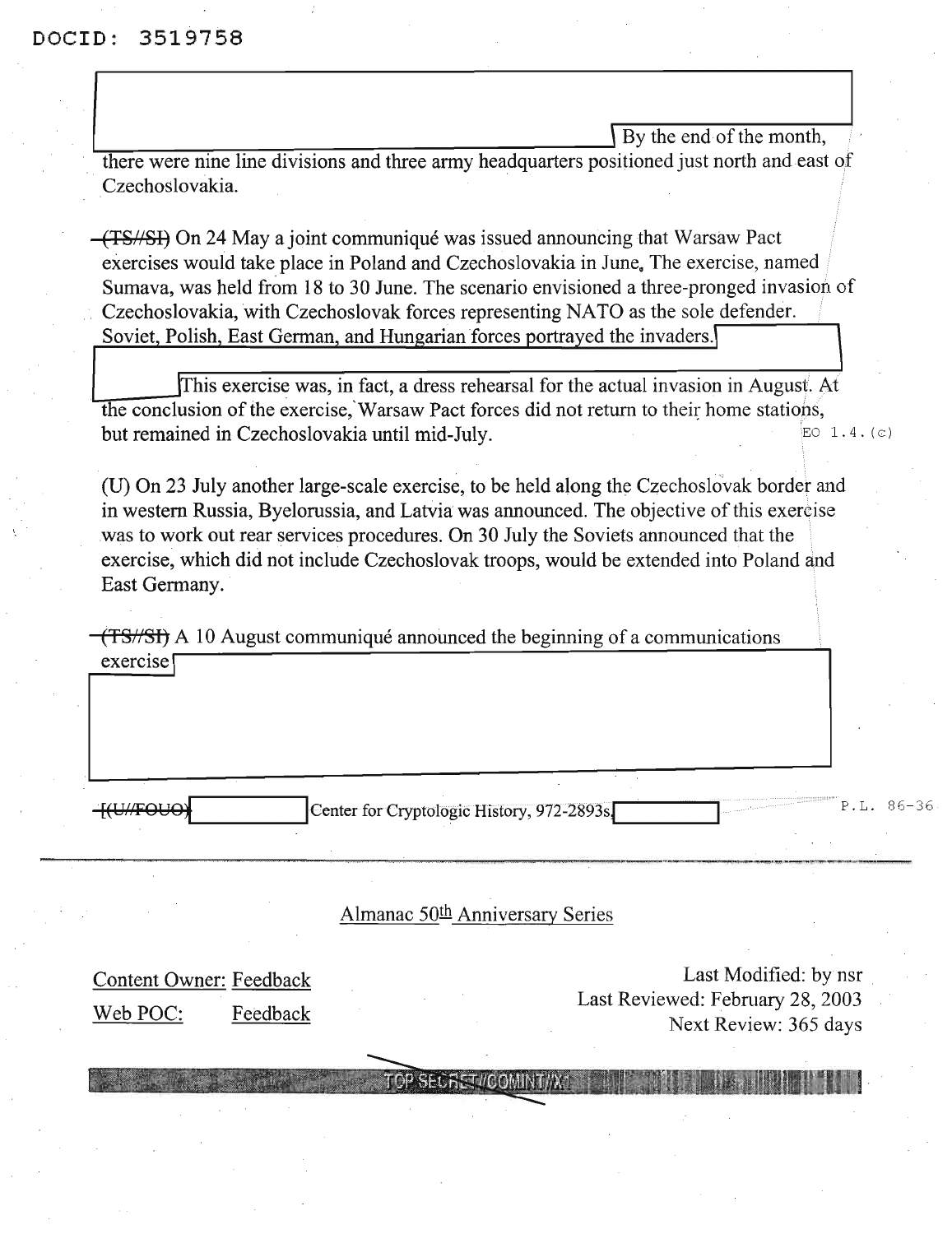I By the end of the month,<br>there were nine line divisions and three army headquarters positioned just north and east of Czechoslovakia.

(TS//SI) On 24 Maya joint communique was issued announcing that Warsaw Pact exercises would take place in Poland and Czechoslovakia in June. The exercise, named Sumava, was held from 18 to 30 June. The scenario envisioned a three-pronged invasion of Czechoslovakia, with Czechoslovak forces representing NATO as the sole defender. Soviet. Polish, East German, and Hungarian forces portrayed the invaders.\

JThis exercise was, in fact, a dress rehearsal for the actual invasion in August. At the conclusion of the exercise, Warsaw Pact forces did not return to their home stations, but remained in Czechoslovakia until mid-July.  $EQ = 1.4$ . (c)

(D) On 23 July another large-scale exercise, to be held along the Czechoslovak border and in western Russia, Byelorussia, and Latvia was announced. The objective of this exercise was to work out rear services procedures. On 30 July the Soviets announced that the exercise, which did not include Czechoslovak troops, would be extended into Poland and East Germany.

 $(TS/SI)$  A 10 August communiqué announced the beginning of a communications exercise \

H(U//FOUO) Center for Cryptologic History, 972-2893s.

---- .\_--~-~~--

Almanac 50<sup>th</sup> Anniversary Series

Content Owner: Feedback Web POC: Feedback

Last Modified: by nsr Last Reviewed: February 28,2003 Next Review: 365 days

SECRET/COMINITAX1